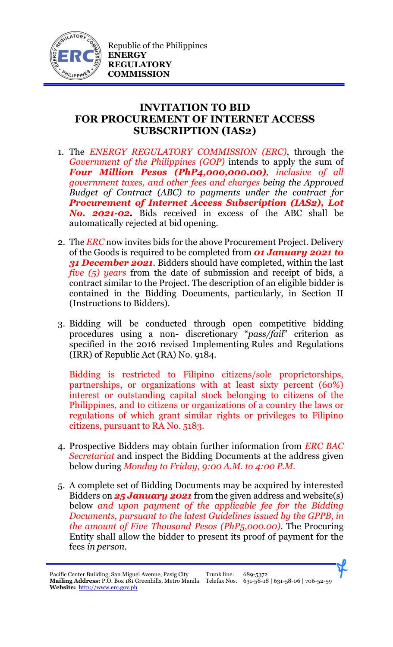

## **INVITATION TO BID FOR PROCUREMENT OF INTERNET ACCESS SUBSCRIPTION (IAS2)**

- 1. The *ENERGY REGULATORY COMMISSION (ERC)*, through the *Government of the Philippines (GOP)* intends to apply the sum of *Four Million Pesos (PhP4,000,000.00), inclusive of all government taxes, and other fees and charges being the Approved Budget of Contract (ABC) to payments under the contract for Procurement of Internet Access Subscription (IAS2), Lot No. 2021-02.* Bids received in excess of the ABC shall be automatically rejected at bid opening.
- 2. The *ERC* now invites bids for the above Procurement Project. Delivery of the Goods is required to be completed from *01 January 2021 to*  **31 December 2021.** Bidders should have completed, within the last *five (5) years* from the date of submission and receipt of bids, a contract similar to the Project. The description of an eligible bidder is contained in the Bidding Documents, particularly, in Section II (Instructions to Bidders).
- 3. Bidding will be conducted through open competitive bidding procedures using a non- discretionary "*pass/fail*" criterion as specified in the 2016 revised Implementing Rules and Regulations (IRR) of Republic Act (RA) No. 9184.

Bidding is restricted to Filipino citizens/sole proprietorships, partnerships, or organizations with at least sixty percent (60%) interest or outstanding capital stock belonging to citizens of the Philippines, and to citizens or organizations of a country the laws or regulations of which grant similar rights or privileges to Filipino citizens, pursuant to RA No. 5183.

- 4. Prospective Bidders may obtain further information from *ERC BAC Secretariat* and inspect the Bidding Documents at the address given below during *Monday to Friday, 9:00 A.M. to 4:00 P.M*.
- 5. A complete set of Bidding Documents may be acquired by interested Bidders on *25 January 2021* from the given address and website(s) below *and upon payment of the applicable fee for the Bidding Documents, pursuant to the latest Guidelines issued by the GPPB, in the amount of Five Thousand Pesos (PhP5,000.00)*. The Procuring Entity shall allow the bidder to present its proof of payment for the fees *in person.*

Pacific Center Building, San Miguel Avenue, Pasig City **Mailing Address:** P.O. Box 181 Greenhills, Metro Manila Telefax Nos. 631-58-18 | 631-58-06 | 706-52-59 **Website:** [http://www.erc.gov.ph](http://www.erc.gov.ph/)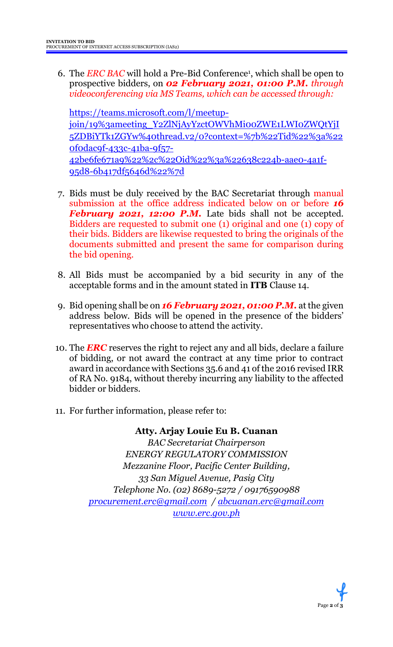6. The *ERC BAC* will hold a Pre-Bid Conference<sup>1</sup> , which shall be open to prospective bidders, on *02 February 2021, 01:00 P.M. through videoconferencing via MS Teams, which can be accessed through:*

[https://teams.microsoft.com/l/meetup](https://teams.microsoft.com/l/meetup-join/19%3ameeting_Y2ZlNjAyYzctOWVhMi00ZWE1LWI0ZWQtYjI5ZDBiYTk1ZGYw%40thread.v2/0?context=%7b%22Tid%22%3a%220f0dac9f-433c-41ba-9f57-42be6fe671a9%22%2c%22Oid%22%3a%22638c224b-aae0-4a1f-95d8-6b417df5646d%22%7d)[join/19%3ameeting\\_Y2ZlNjAyYzctOWVhMi00ZWE1LWI0ZWQtYjI](https://teams.microsoft.com/l/meetup-join/19%3ameeting_Y2ZlNjAyYzctOWVhMi00ZWE1LWI0ZWQtYjI5ZDBiYTk1ZGYw%40thread.v2/0?context=%7b%22Tid%22%3a%220f0dac9f-433c-41ba-9f57-42be6fe671a9%22%2c%22Oid%22%3a%22638c224b-aae0-4a1f-95d8-6b417df5646d%22%7d) [5ZDBiYTk1ZGYw%40thread.v2/0?context=%7b%22Tid%22%3a%22](https://teams.microsoft.com/l/meetup-join/19%3ameeting_Y2ZlNjAyYzctOWVhMi00ZWE1LWI0ZWQtYjI5ZDBiYTk1ZGYw%40thread.v2/0?context=%7b%22Tid%22%3a%220f0dac9f-433c-41ba-9f57-42be6fe671a9%22%2c%22Oid%22%3a%22638c224b-aae0-4a1f-95d8-6b417df5646d%22%7d) [0f0dac9f-433c-41ba-9f57-](https://teams.microsoft.com/l/meetup-join/19%3ameeting_Y2ZlNjAyYzctOWVhMi00ZWE1LWI0ZWQtYjI5ZDBiYTk1ZGYw%40thread.v2/0?context=%7b%22Tid%22%3a%220f0dac9f-433c-41ba-9f57-42be6fe671a9%22%2c%22Oid%22%3a%22638c224b-aae0-4a1f-95d8-6b417df5646d%22%7d) [42be6fe671a9%22%2c%22Oid%22%3a%22638c224b-aae0-4a1f-](https://teams.microsoft.com/l/meetup-join/19%3ameeting_Y2ZlNjAyYzctOWVhMi00ZWE1LWI0ZWQtYjI5ZDBiYTk1ZGYw%40thread.v2/0?context=%7b%22Tid%22%3a%220f0dac9f-433c-41ba-9f57-42be6fe671a9%22%2c%22Oid%22%3a%22638c224b-aae0-4a1f-95d8-6b417df5646d%22%7d)[95d8-6b417df5646d%22%7d](https://teams.microsoft.com/l/meetup-join/19%3ameeting_Y2ZlNjAyYzctOWVhMi00ZWE1LWI0ZWQtYjI5ZDBiYTk1ZGYw%40thread.v2/0?context=%7b%22Tid%22%3a%220f0dac9f-433c-41ba-9f57-42be6fe671a9%22%2c%22Oid%22%3a%22638c224b-aae0-4a1f-95d8-6b417df5646d%22%7d)

- 7. Bids must be duly received by the BAC Secretariat through manual submission at the office address indicated below on or before *16 February 2021, 12:00 P.M.* Late bids shall not be accepted. Bidders are requested to submit one (1) original and one (1) copy of their bids. Bidders are likewise requested to bring the originals of the documents submitted and present the same for comparison during the bid opening.
- 8. All Bids must be accompanied by a bid security in any of the acceptable forms and in the amount stated in **ITB** Clause 14.
- 9. Bid opening shall be on *16 February 2021, 01:00 P.M.* at the given address below. Bids will be opened in the presence of the bidders' representatives who choose to attend the activity.
- 10. The *ERC* reserves the right to reject any and all bids, declare a failure of bidding, or not award the contract at any time prior to contract award in accordance with Sections 35.6 and 41 of the 2016 revised IRR of RA No. 9184, without thereby incurring any liability to the affected bidder or bidders.
- 11. For further information, please refer to:

**Atty. Arjay Louie Eu B. Cuanan** *BAC Secretariat Chairperson ENERGY REGULATORY COMMISSION Mezzanine Floor, Pacific Center Building, 33 San Miguel Avenue, Pasig City Telephone No. (02) 8689-5272 / 09176590988 [procurement.erc@gmail.com](mailto:procurement.erc@gmail.com) / [abcuanan.erc@gmail.com](mailto:abcuanan.erc@gmail.com) [www.erc.gov.ph](http://www.erc.gov.ph/)*